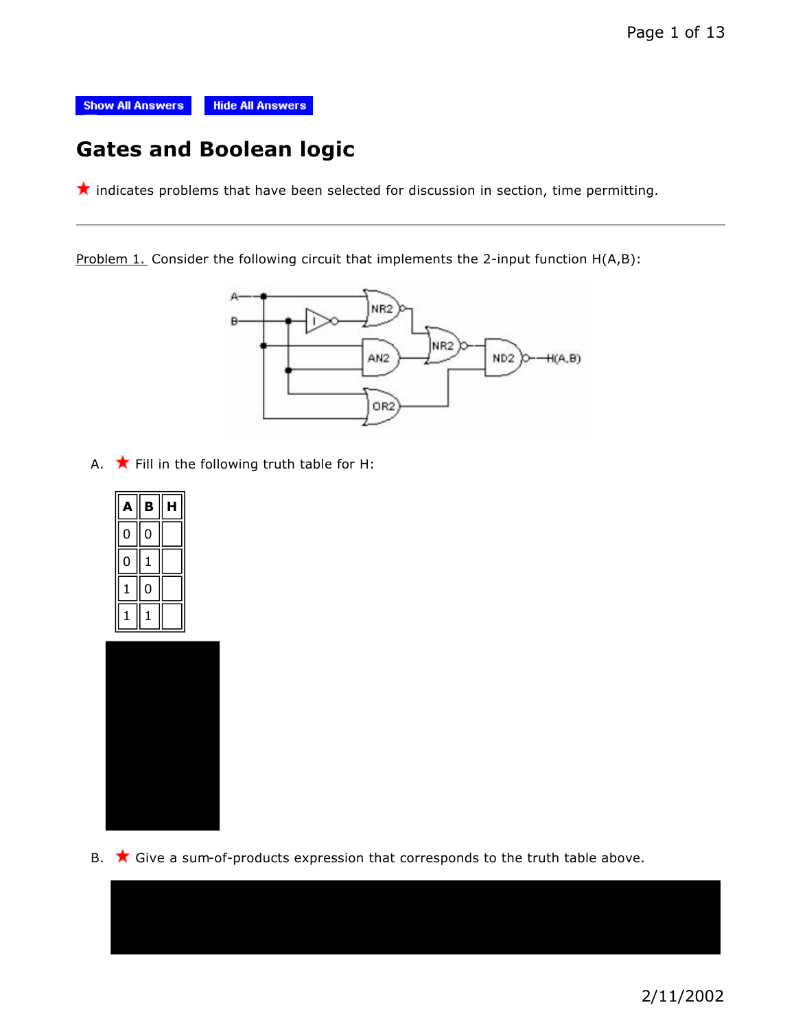

# **Gates and Boolean logic**

 $\star$  indicates problems that have been selected for discussion in section, time permitting.

Problem 1. Consider the following circuit that implements the 2-input function H(A,B):



A.  $\bigstar$  Fill in the following truth table for H:





B.  $\star$  Give a sum-of-products expression that corresponds to the truth table above.

2/11/2002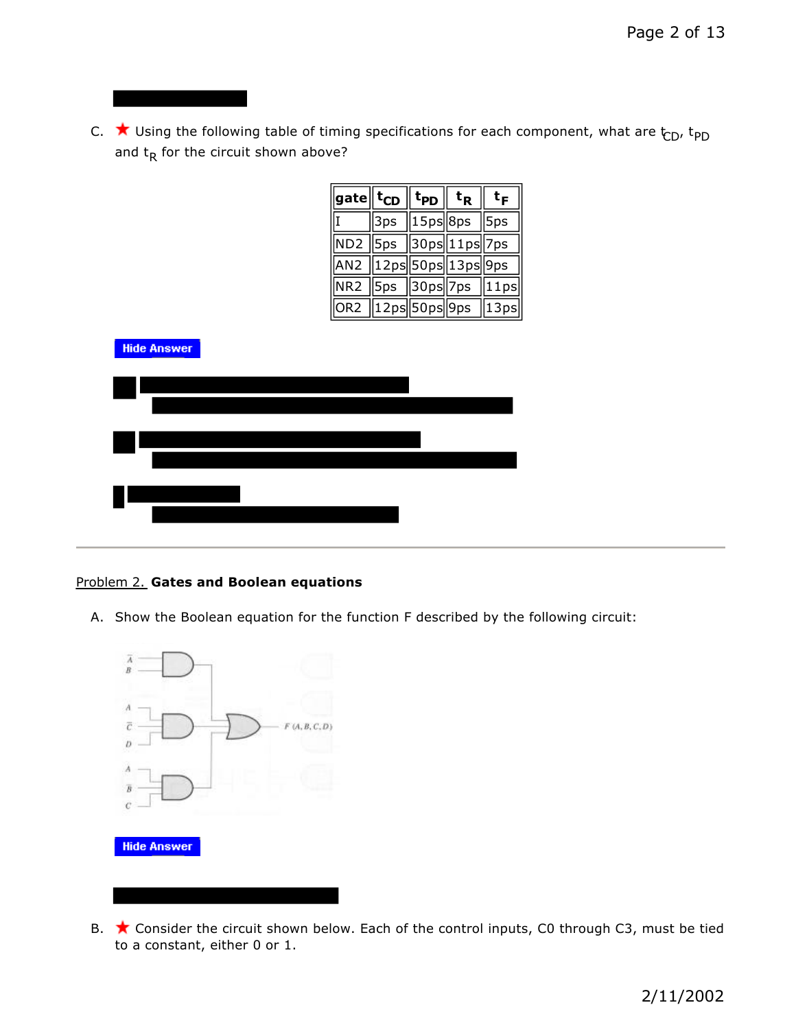C.  $\star$  Using the following table of timing specifications for each component, what are  $t_{CD}$ ,  $t_{PD}$ and  $t_R$  for the circuit shown above?

| $\parallel$ gate $\parallel$ t $_{\textsf{CD}}\parallel$ t $_{\textsf{PD}}\parallel$ t $_{\textsf{R}}\parallel$ |                                               |  | t <sub>F</sub> |
|-----------------------------------------------------------------------------------------------------------------|-----------------------------------------------|--|----------------|
|                                                                                                                 | $\sqrt{3ps}$ $\sqrt{15ps}$ $8ps$ $\sqrt{5ps}$ |  |                |
| ND2 5ps 30ps 11ps 7ps                                                                                           |                                               |  |                |
| AN2 12ps 50ps 13ps 9ps                                                                                          |                                               |  |                |
| NR2 5ps 30ps 7ps 11ps                                                                                           |                                               |  |                |
| $\sqrt{OR2}$ 12ps 50ps 9ps 13ps                                                                                 |                                               |  |                |



#### Problem 2. **Gates and Boolean equations**

J

A. Show the Boolean equation for the function F described by the following circuit:



B.  $\star$  Consider the circuit shown below. Each of the control inputs, C0 through C3, must be tied to a constant, either 0 or 1.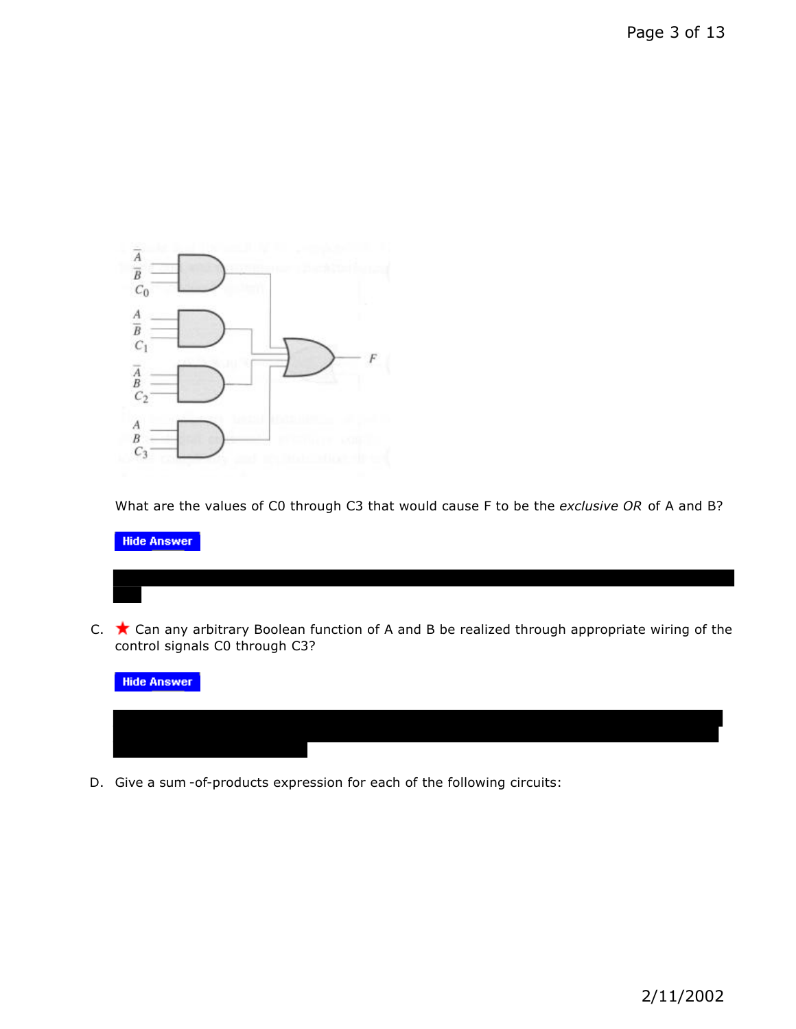

What are the values of C0 through C3 that would cause F to be the *exclusive OR* of A and B?

**Hide Answer** 

C.  $\star$  Can any arbitrary Boolean function of A and B be realized through appropriate wiring of the control signals C0 through C3?



D. Give a sum -of-products expression for each of the following circuits: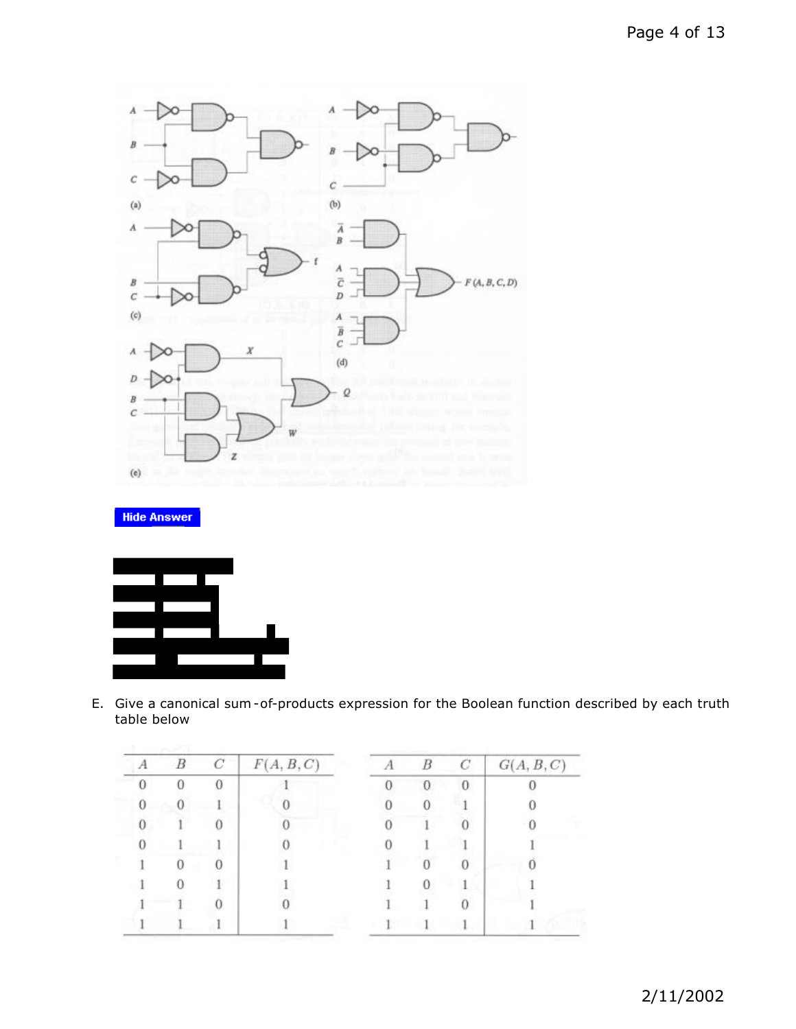

**Hide Answer** 



E. Give a canonical sum -of-products expression for the Boolean function described by each truth table below

| B        | C | F(A, B, C) | B        | С        | G(A, B, C) |
|----------|---|------------|----------|----------|------------|
| $\Omega$ | 0 |            | $\Omega$ | $\bf{0}$ |            |
| U        |   |            |          |          |            |
|          |   |            |          |          |            |
|          |   |            |          |          |            |
| U        |   |            |          |          |            |
|          |   |            |          |          |            |
|          |   |            |          |          |            |
|          |   |            |          |          |            |
|          |   |            |          |          |            |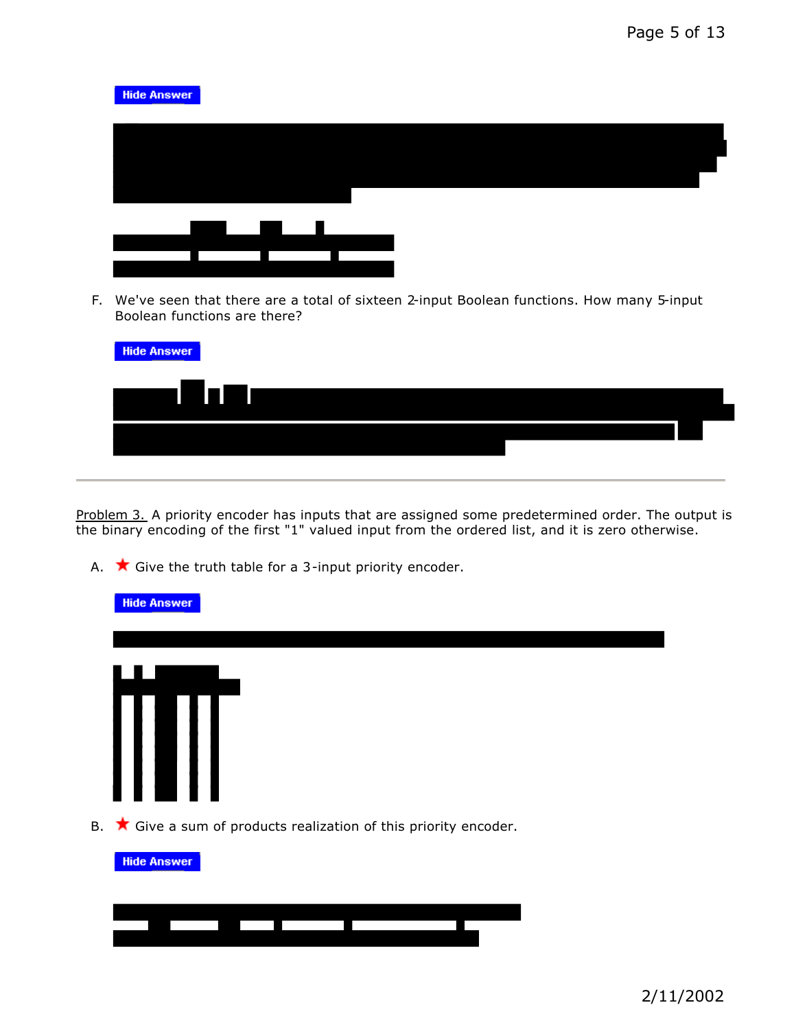

| <u> De la Barca</u> |  |  |  |
|---------------------|--|--|--|
|                     |  |  |  |
|                     |  |  |  |
|                     |  |  |  |
|                     |  |  |  |
|                     |  |  |  |
|                     |  |  |  |

F. We've seen that there are a total of sixteen 2-input Boolean functions. How many 5-input Boolean functions are there?

| <b>Hide Answer</b> |  |  |
|--------------------|--|--|
| <u>am Dıllıma</u>  |  |  |
|                    |  |  |
|                    |  |  |

Problem 3. A priority encoder has inputs that are assigned some predetermined order. The output is the binary encoding of the first "1" valued input from the ordered list, and it is zero otherwise.

A.  $\star$  Give the truth table for a 3-input priority encoder.

| <b>Hide Answer</b>                                                                            |
|-----------------------------------------------------------------------------------------------|
|                                                                                               |
| III                                                                                           |
| B. $\star$ Give a sum of products realization of this priority encoder.<br><b>Hide Answer</b> |
|                                                                                               |

the control of the control of the control of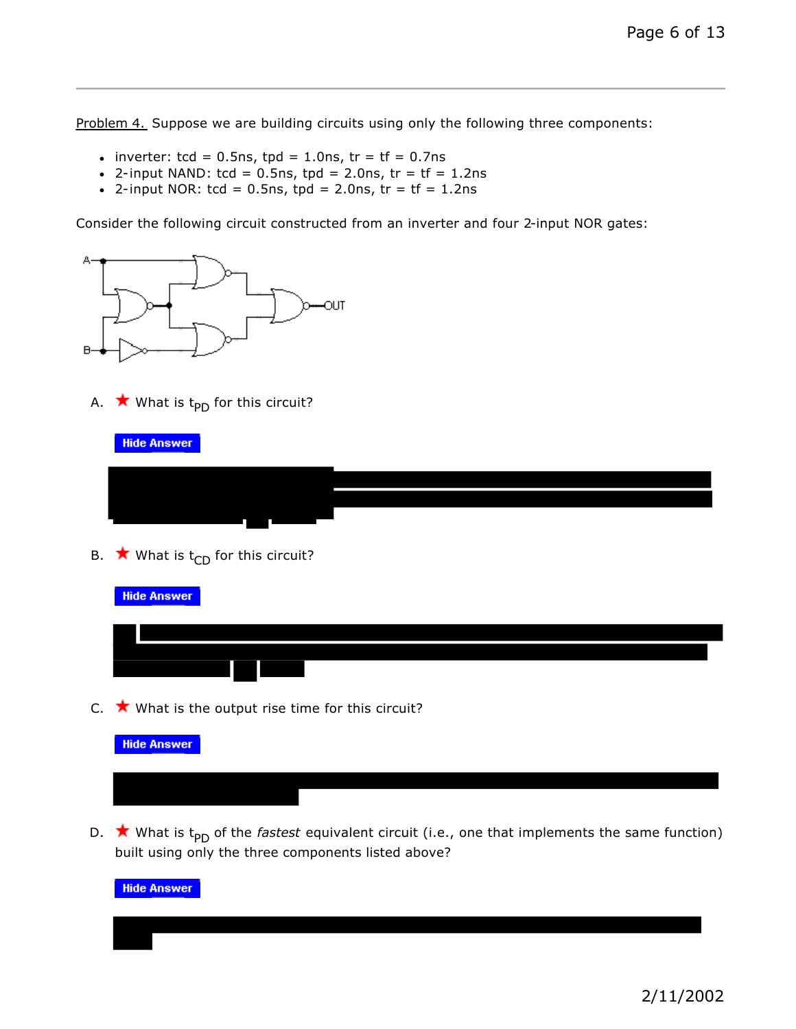Problem 4. Suppose we are building circuits using only the following three components:

- inverter:  $tcd = 0.5$ ns,  $tpd = 1.0$ ns,  $tr = tf = 0.7$ ns
- 2-input NAND:  $tcd = 0.5$ ns,  $tpd = 2.0$ ns,  $tr = tf = 1.2$ ns
- 2-input NOR:  $tcd = 0.5$ ns,  $tpd = 2.0$ ns,  $tr = tf = 1.2$ ns

Consider the following circuit constructed from an inverter and four 2-input NOR gates:



A.  $\star$  What is t<sub>PD</sub> for this circuit?

**Hide Answer** 

B.  $\star$  What is t<sub>CD</sub> for this circuit?

| <b>Hide Answer</b>                                        |
|-----------------------------------------------------------|
|                                                           |
|                                                           |
| C. $\star$ What is the output rise time for this circuit? |



D.  $\star$  What is t<sub>PD</sub> of the *fastest* equivalent circuit (i.e., one that implements the same function) built using only the three components listed above?

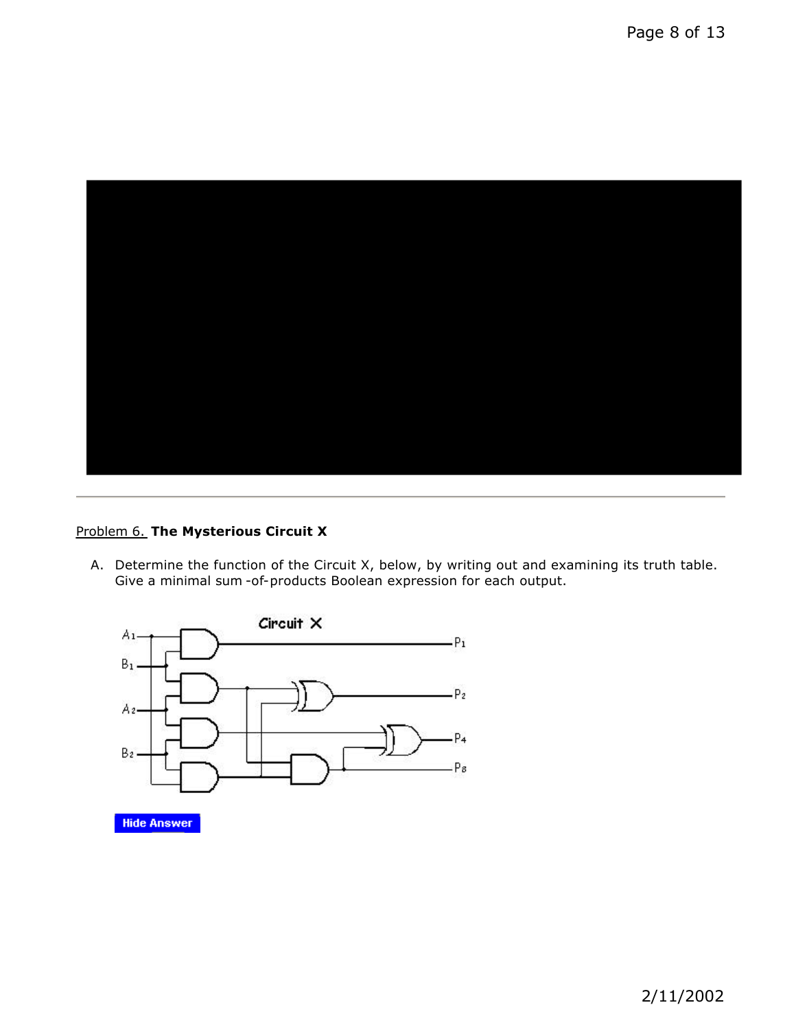

### Problem 6. **The Mysterious Circuit X**

A. Determine the function of the Circuit X, below, by writing out and examining its truth table. Give a minimal sum -of-products Boolean expression for each output.



**Hide Answer**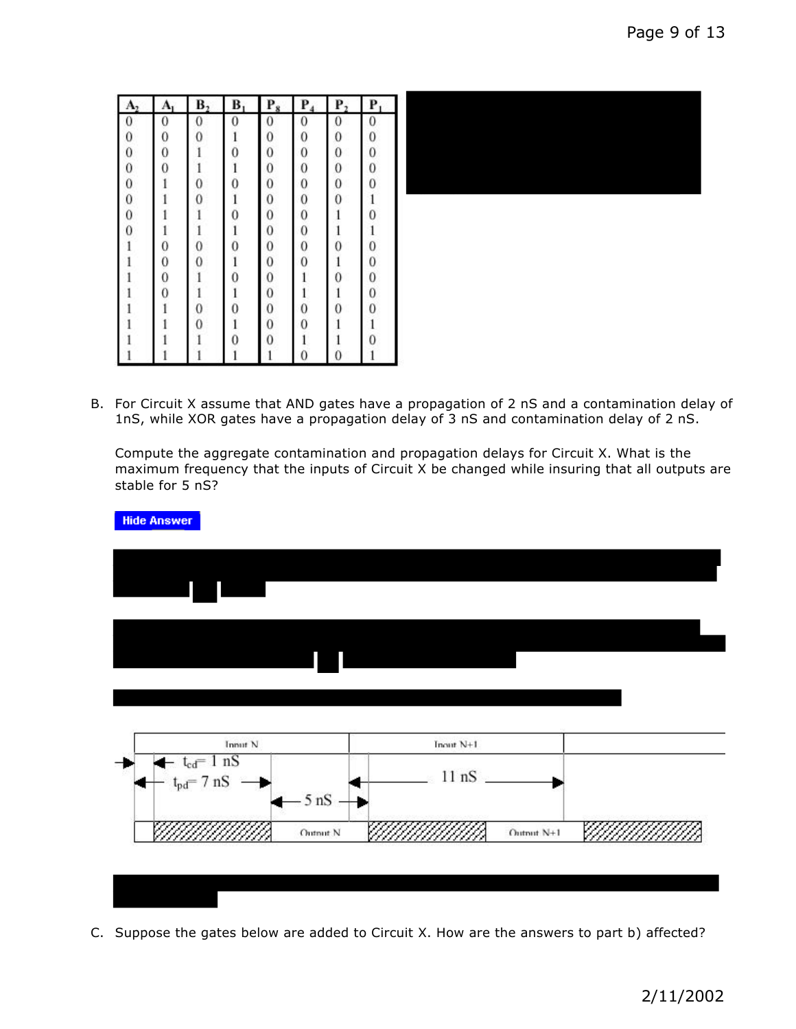| A <sub>2</sub> | A              | B <sub>2</sub> | B            | $P_8$        | $P_4$                                       | $P_2$          | P            |
|----------------|----------------|----------------|--------------|--------------|---------------------------------------------|----------------|--------------|
| $\bf{0}$       | 0              | $\mathbf{0}$   | 0            | 0            | $\mathbf{0}$                                | $\bf{0}$       | $\mathbf{0}$ |
| $\bf{0}$       | $\mathbf{0}$   | $\mathbf{0}$   | $\mathbf{1}$ | $\bf{0}$     |                                             | $\overline{0}$ | $\mathbf{0}$ |
| $\mathbf{0}$   | $\mathbf 0$    |                | 0            | $\bf{0}$     |                                             | $\bf{0}$       | $\mathbf{0}$ |
| $\bf{0}$       | $\overline{0}$ |                | 1            | $\bf{0}$     |                                             | $\bf{0}$       | $\mathbf{0}$ |
| $\bf{0}$       |                | $\mathbf 0$    | 0            | $\mathbf{0}$ |                                             | $\bf{0}$       | $\mathbf{0}$ |
| $\mathbf{0}$   |                | $\overline{0}$ | $\mathbf{1}$ | $\mathbf{0}$ |                                             | $\overline{0}$ | $\mathbf{1}$ |
| $\bf{0}$       |                |                | 0            | $\mathbf{0}$ |                                             |                | $\mathbf{0}$ |
| $\bf{0}$       |                | 1              | $\mathbf{1}$ | $\mathbf{0}$ | 00000000                                    |                | $\mathbf{1}$ |
|                | 0              | $^{\circ}$     | 0            | $\mathbf{0}$ |                                             | 0              | $\mathbf{0}$ |
|                | $\mathbf 0$    | $\overline{0}$ | l            | $\mathbf{0}$ |                                             |                | $\mathbf{0}$ |
|                | 0              |                | 0            | $\bf{0}$     | l                                           | 0              |              |
|                | 0              | l              | $\mathbf{1}$ | $\mathbf{0}$ |                                             |                | $_{0}^{0}$   |
|                |                | $\mathbf{0}$   | 0            | $\mathbf{0}$ |                                             | $\overline{0}$ | $\mathbf{0}$ |
|                |                | $\overline{0}$ | $\mathbf{1}$ | $\bf{0}$     | $\begin{smallmatrix}1\0\0\end{smallmatrix}$ |                | $\mathbf{1}$ |
|                |                |                | 0            | 0            | i                                           |                | $\mathbf{0}$ |
|                |                |                |              |              | $\overline{0}$                              | 0              | 1            |

B. For Circuit X assume that AND gates have a propagation of 2 nS and a contamination delay of 1nS, while XOR gates have a propagation delay of 3 nS and contamination delay of 2 nS.

Compute the aggregate contamination and propagation delays for Circuit X. What is the maximum frequency that the inputs of Circuit X be changed while insuring that all outputs are stable for 5 nS?



C. Suppose the gates below are added to Circuit X. How are the answers to part b) affected?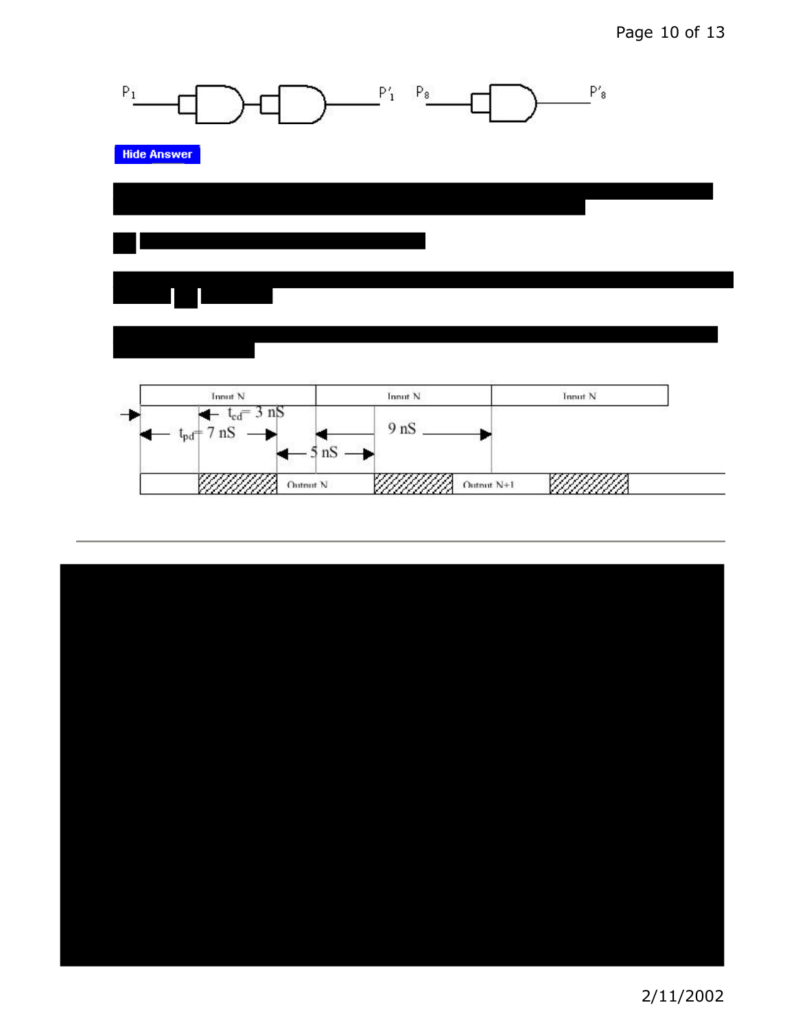# Page 10 of 13





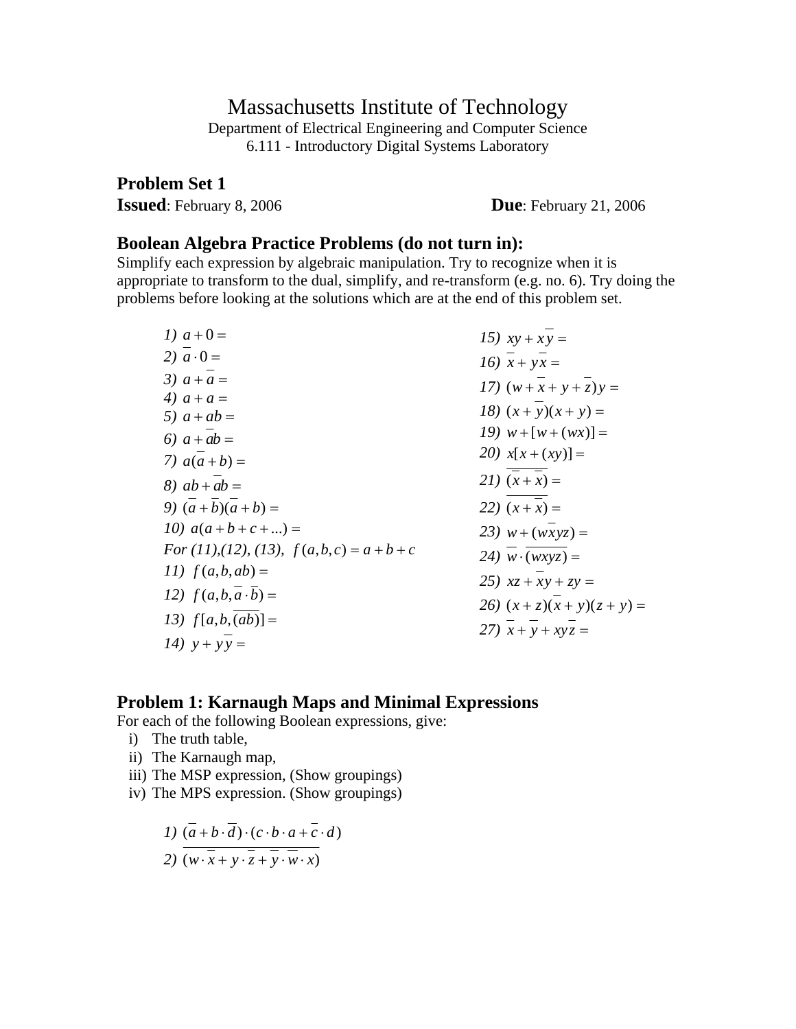### Massachusetts Institute of Technology

Department of Electrical Engineering and Computer Science 6.111 - Introductory Digital Systems Laboratory

**Problem Set 1** 

**Issued**: February 8, 2006 **Due**: February 21, 2006

#### **Boolean Algebra Practice Problems (do not turn in):**

Simplify each expression by algebraic manipulation. Try to recognize when it is appropriate to transform to the dual, simplify, and re-transform (e.g. no. 6). Try doing the problems before looking at the solutions which are at the end of this problem set.

| 1) $a+0=$                                | 15) $xy + xy =$               |
|------------------------------------------|-------------------------------|
| 2) $a \cdot 0 =$                         | 16) $x + yx =$                |
| 3) $a + a =$                             | 17) $(w+x+y+z)y =$            |
| 4) $a + a =$                             | 18) $(x + y)(x + y) =$        |
| 5) $a + ab =$                            |                               |
| 6) $a + ab =$                            | 19) $w + [w + (wx)] =$        |
| 7) $a(a+b) =$                            | 20) $x[x + (xy)] =$           |
| 8) $ab + ab =$                           | 21) $(x+x) =$                 |
| 9) $(a+b)(a+b) =$                        | 22) $(x + x) =$               |
| 10) $a(a+b+c+)=$                         | 23) $w + (wxyz) =$            |
| For (11), (12), (13), $f(a,b,c) = a+b+c$ | 24) $w \cdot (wxyz) =$        |
| 11) $f(a,b,ab) =$                        | 25) $xz + xy + zy =$          |
| 12) $f(a,b,a \cdot b) =$                 |                               |
|                                          | 26) $(x + z)(x + y)(z + y) =$ |
| 13) $f[a,b,(ab)] =$                      | 27) $x + y + xyz =$           |
| 14) $y + yy =$                           |                               |

### **Problem 1: Karnaugh Maps and Minimal Expressions**

For each of the following Boolean expressions, give:

- i) The truth table,
- ii) The Karnaugh map,
- iii) The MSP expression, (Show groupings)
- iv) The MPS expression. (Show groupings)

$$
I) \left( \overline{a} + b \cdot \overline{d} \right) \cdot \left( c \cdot b \cdot a + \overline{c} \cdot d \right)
$$

$$
2) \left( w \cdot \overline{x} + y \cdot \overline{z} + \overline{y} \cdot \overline{w} \cdot x \right)
$$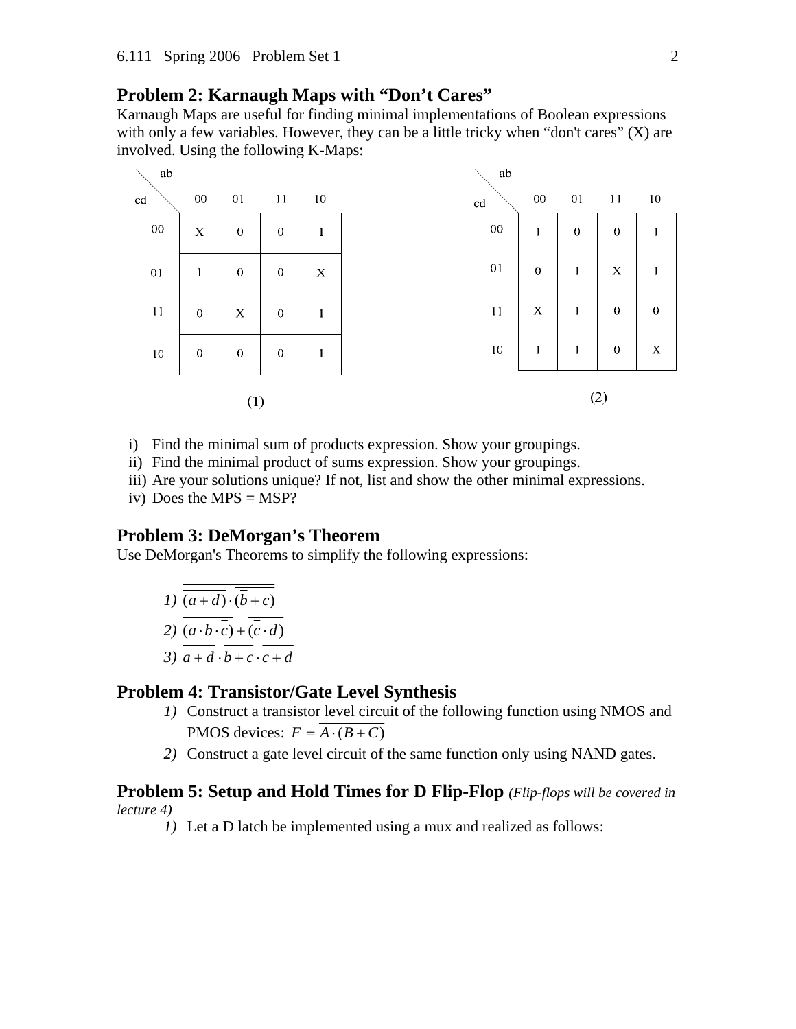### **Problem 2: Karnaugh Maps with "Don't Cares"**

Karnaugh Maps are useful for finding minimal implementations of Boolean expressions with only a few variables. However, they can be a little tricky when "don't cares" (X) are involved. Using the following K-Maps:



- i) Find the minimal sum of products expression. Show your groupings.
- ii) Find the minimal product of sums expression. Show your groupings.
- iii) Are your solutions unique? If not, list and show the other minimal expressions.
- iv) Does the MPS  $=$  MSP?

#### **Problem 3: DeMorgan's Theorem**

Use DeMorgan's Theorems to simplify the following expressions:

1) 
$$
\overline{\overline{(a+d)\cdot(\overline{b}+c)}}
$$
  
2) 
$$
\overline{\overline{(a\cdot b\cdot\overline{c})+(\overline{c}\cdot d)}}
$$
  
3) 
$$
\overline{\overline{a+d}\cdot\overline{b+\overline{c}\cdot\overline{c}+d}}
$$

### **Problem 4: Transistor/Gate Level Synthesis**

- *1)* Construct a transistor level circuit of the following function using NMOS and PMOS devices:  $F = \overline{A \cdot (B + C)}$
- *2)* Construct a gate level circuit of the same function only using NAND gates.